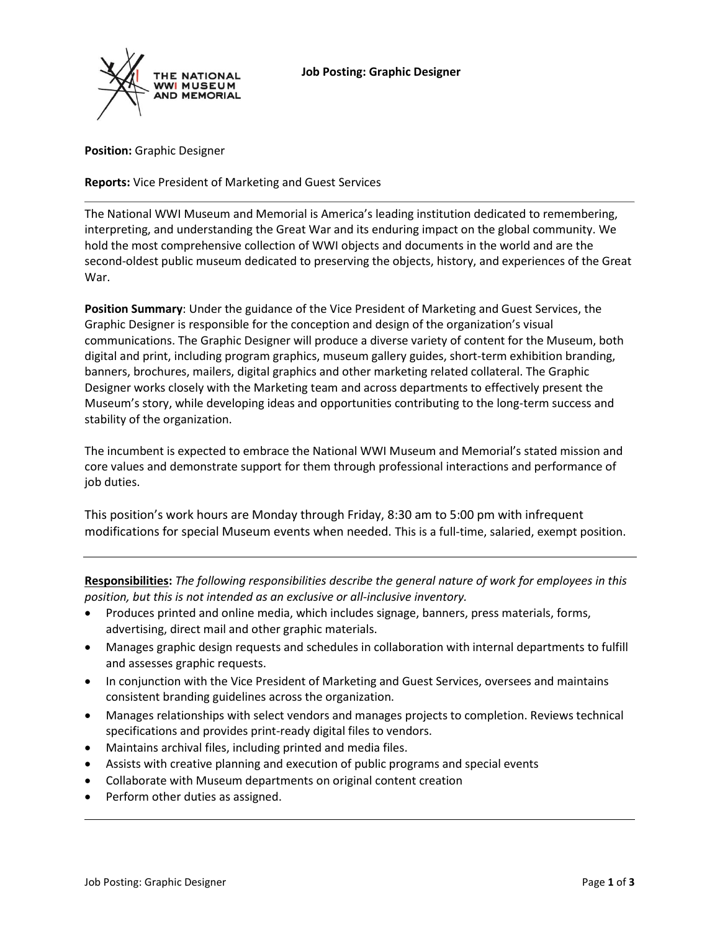

**Position:** Graphic Designer

# **Reports:** Vice President of Marketing and Guest Services

The National WWI Museum and Memorial is America's leading institution dedicated to remembering, interpreting, and understanding the Great War and its enduring impact on the global community. We hold the most comprehensive collection of WWI objects and documents in the world and are the second-oldest public museum dedicated to preserving the objects, history, and experiences of the Great War.

**Position Summary**: Under the guidance of the Vice President of Marketing and Guest Services, the Graphic Designer is responsible for the conception and design of the organization's visual communications. The Graphic Designer will produce a diverse variety of content for the Museum, both digital and print, including program graphics, museum gallery guides, short-term exhibition branding, banners, brochures, mailers, digital graphics and other marketing related collateral. The Graphic Designer works closely with the Marketing team and across departments to effectively present the Museum's story, while developing ideas and opportunities contributing to the long-term success and stability of the organization.

The incumbent is expected to embrace the National WWI Museum and Memorial's stated mission and core values and demonstrate support for them through professional interactions and performance of job duties.

This position's work hours are Monday through Friday, 8:30 am to 5:00 pm with infrequent modifications for special Museum events when needed. This is a full-time, salaried, exempt position.

**Responsibilities:** *The following responsibilities describe the general nature of work for employees in this position, but this is not intended as an exclusive or all-inclusive inventory.* 

- Produces printed and online media, which includes signage, banners, press materials, forms, advertising, direct mail and other graphic materials.
- Manages graphic design requests and schedules in collaboration with internal departments to fulfill and assesses graphic requests.
- In conjunction with the Vice President of Marketing and Guest Services, oversees and maintains consistent branding guidelines across the organization.
- Manages relationships with select vendors and manages projects to completion. Reviews technical specifications and provides print-ready digital files to vendors.
- Maintains archival files, including printed and media files.
- Assists with creative planning and execution of public programs and special events
- Collaborate with Museum departments on original content creation
- Perform other duties as assigned.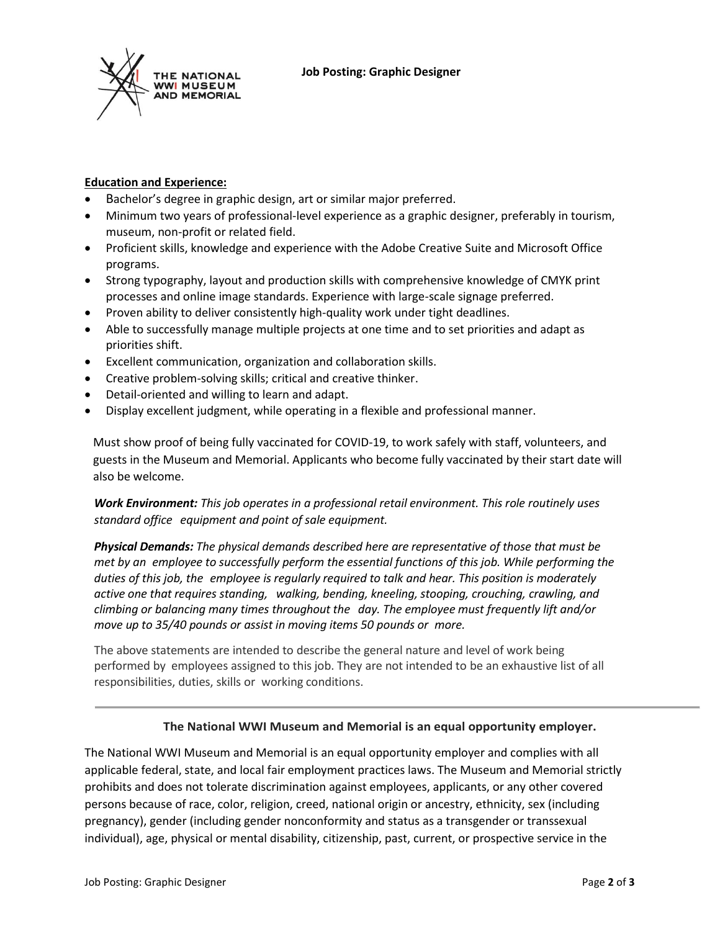



# **Education and Experience:**

- Bachelor's degree in graphic design, art or similar major preferred.
- Minimum two years of professional-level experience as a graphic designer, preferably in tourism, museum, non-profit or related field.
- Proficient skills, knowledge and experience with the Adobe Creative Suite and Microsoft Office programs.
- Strong typography, layout and production skills with comprehensive knowledge of CMYK print processes and online image standards. Experience with large-scale signage preferred.
- Proven ability to deliver consistently high-quality work under tight deadlines.
- Able to successfully manage multiple projects at one time and to set priorities and adapt as priorities shift.
- Excellent communication, organization and collaboration skills.
- Creative problem-solving skills; critical and creative thinker.
- Detail-oriented and willing to learn and adapt.
- Display excellent judgment, while operating in a flexible and professional manner.

Must show proof of being fully vaccinated for COVID-19, to work safely with staff, volunteers, and guests in the Museum and Memorial. Applicants who become fully vaccinated by their start date will also be welcome.

*Work Environment: This job operates in a professional retail environment. This role routinely uses standard office equipment and point of sale equipment.*

*Physical Demands: The physical demands described here are representative of those that must be met by an employee to successfully perform the essential functions of this job. While performing the duties of this job, the employee is regularly required to talk and hear. This position is moderately active one that requires standing, walking, bending, kneeling, stooping, crouching, crawling, and climbing or balancing many times throughout the day. The employee must frequently lift and/or move up to 35/40 pounds or assist in moving items 50 pounds or more.*

The above statements are intended to describe the general nature and level of work being performed by employees assigned to this job. They are not intended to be an exhaustive list of all responsibilities, duties, skills or working conditions.

# **The National WWI Museum and Memorial is an equal opportunity employer.**

The National WWI Museum and Memorial is an equal opportunity employer and complies with all applicable federal, state, and local fair employment practices laws. The Museum and Memorial strictly prohibits and does not tolerate discrimination against employees, applicants, or any other covered persons because of race, color, religion, creed, national origin or ancestry, ethnicity, sex (including pregnancy), gender (including gender nonconformity and status as a transgender or transsexual individual), age, physical or mental disability, citizenship, past, current, or prospective service in the